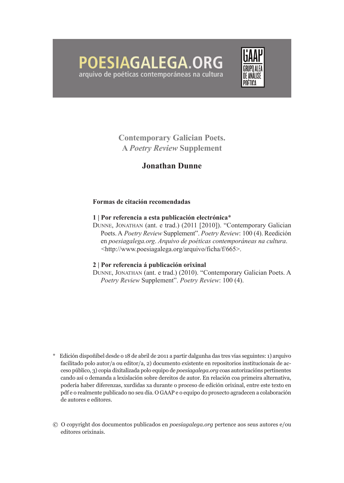# POESIAGALEGA.ORG arquivo de poéticas contemporáneas na cultura



**Contemporary Galician Poets. A** *Poetry Review* **Supplement**

## **Jonathan Dunne**

#### **Formas de citación recomendadas**

#### **1 | Por referencia a esta publicación electrónica**\*

Dunne, Jonathan (ant. e trad.) (2011 [2010]). "Contemporary Galician Poets. A Poetry Review Supplement". Poetry Review: 100 (4). Reedición en *poesiagalega.org*. *Arquivo de poéticas contemporáneas na cultura*. <http://www.poesiagalega.org/arquivo/ficha/f/665>.

#### **2 | Por referencia á publicación orixinal**

Dunne, Jonathan (ant. e trad.) (2010). "Contemporary Galician Poets. a *Poetry Review* Supplement". *Poetry Review*: 100 (4).

- \* Edición dispoñíbel desde o 18 de abril de 2011 a partir dalgunha das tres vías seguintes: 1) arquivo facilitado polo autor/a ou editor/a, 2) documento existente en repositorios institucionais de acceso público, 3) copia dixitalizada polo equipo de *poesiagalega.org* coas autorizacións pertinentes cando así o demanda a lexislación sobre dereitos de autor. En relación coa primeira alternativa, podería haber diferenzas, xurdidas xa durante o proceso de edición orixinal, entre este texto en pdf e o realmente publicado no seu día. O GAAP e o equipo do proxecto agradecen a colaboración de autores e editores.
- © O copyright dos documentos publicados en *poesiagalega.org* pertence aos seus autores e/ou editores orixinais.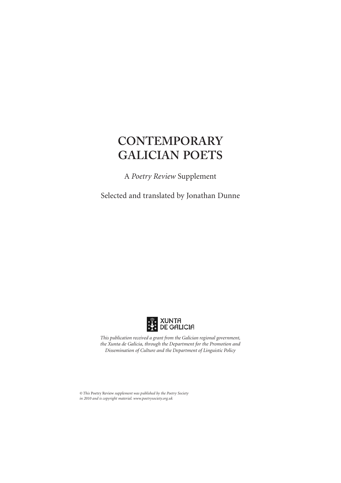A *Poetry Review* Supplement

Selected and translated by Jonathan Dunne



*This publication received a grant from the Galician regional government, the Xunta de Galicia, through the Department for the Promotion and Dissemination of Culture and the Department of Linguistic Policy*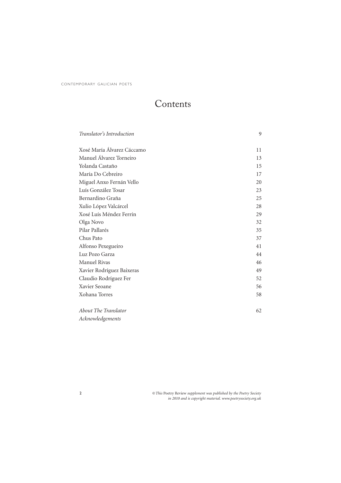# Contents

| Translator's Introduction  | 9  |
|----------------------------|----|
|                            |    |
| Xosé María Álvarez Cáccamo | 11 |
| Manuel Álvarez Torneiro    | 13 |
| Yolanda Castaño            | 15 |
| María Do Cebreiro          | 17 |
| Miguel Anxo Fernán Vello   | 20 |
| Luís González Tosar        | 23 |
| Bernardino Graña           | 25 |
| Xulio López Valcárcel      | 28 |
| Xosé Luís Méndez Ferrín    | 29 |
| Olga Novo                  | 32 |
| Pilar Pallarés             | 35 |
| Chus Pato                  | 37 |
| Alfonso Pexegueiro         | 41 |
| Luz Pozo Garza             | 44 |
| <b>Manuel Rivas</b>        | 46 |
| Xavier Rodríguez Baixeras  | 49 |
| Claudio Rodríguez Fer      | 52 |
| Xavier Seoane              | 56 |
| Xohana Torres              | 58 |
|                            |    |
| About The Translator       | 62 |
| Acknowledgements           |    |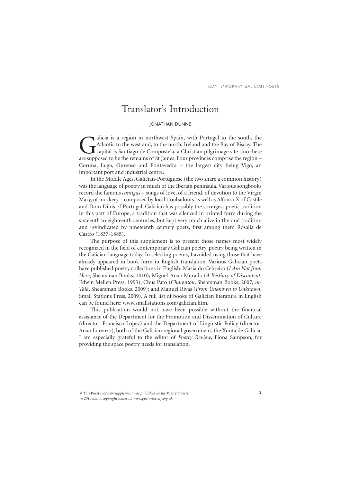## Translator's Introduction

#### JONATHAN DUNNE

alicia is a region in northwest Spain, with Portugal to the south, the Atlantic to the west and, to the north, Ireland and the Bay of Biscay. The capital is Santiago de Compostela, a Christian pilgrimage site since here are supposed to be the remains of St James. Four provinces comprise the region – Coruña, Lugo, Ourense and Pontevedra – the largest city being Vigo, an important port and industrial centre.

In the Middle Ages, Galician-Portuguese (the two share a common history) was the language of poetry in much of the Iberian peninsula. Various songbooks record the famous *cantigas* – songs of love, of a friend, of devotion to the Virgin Mary, of mockery – composed by local troubadours as well as Alfonso X of Castile and Dom Dinis of Portugal. Galician has possibly the strongest poetic tradition in this part of Europe, a tradition that was silenced in printed form during the sixteenth to eighteenth centuries, but kept very much alive in the oral tradition and revindicated by nineteenth century poets, first among them Rosalía de Castro (1837-1885).

The purpose of this supplement is to present those names most widely recognized in the field of contemporary Galician poetry, poetry being written in the Galician language today. In selecting poems, I avoided using those that have already appeared in book form in English translation. Various Galician poets have published poetry collections in English: María do Cebreiro (*I Am Not from Here*, Shearsman Books, 2010); Miguel-Anxo Murado (*A Bestiary of Discontent*, Edwin Mellen Press, 1993); Chus Pato (*Charenton*, Shearsman Books, 2007; *m-Talá*, Shearsman Books, 2009); and Manuel Rivas (*From Unknown to Unknown*, Small Stations Press, 2009). A full list of books of Galician literature in English can be found here: www.smallstations.com/galician.htm.

This publication would not have been possible without the financial assistance of the Department for the Promotion and Dissemination of Culture (director: Francisco López) and the Department of Linguistic Policy (director: Anxo Lorenzo), both of the Galician regional government, the Xunta de Galicia. I am especially grateful to the editor of *Poetry Review*, Fiona Sampson, for providing the space poetry needs for translation.

*<sup>©</sup> This* Poetry Review *supplement was published by the Poetry Society in 2010 and is copyright material. www.poetrysociety.org.uk*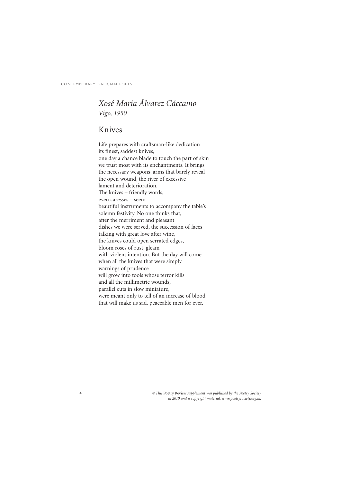### *Xosé María Álvarez Cáccamo Vigo, 1950*

### Knives

Life prepares with craftsman-like dedication its finest, saddest knives, one day a chance blade to touch the part of skin we trust most with its enchantments. It brings the necessary weapons, arms that barely reveal the open wound, the river of excessive lament and deterioration. The knives – friendly words, even caresses – seem beautiful instruments to accompany the table's solemn festivity. No one thinks that, after the merriment and pleasant dishes we were served, the succession of faces talking with great love after wine, the knives could open serrated edges, bloom roses of rust, gleam with violent intention. But the day will come when all the knives that were simply warnings of prudence will grow into tools whose terror kills and all the millimetric wounds, parallel cuts in slow miniature, were meant only to tell of an increase of blood that will make us sad, peaceable men for ever.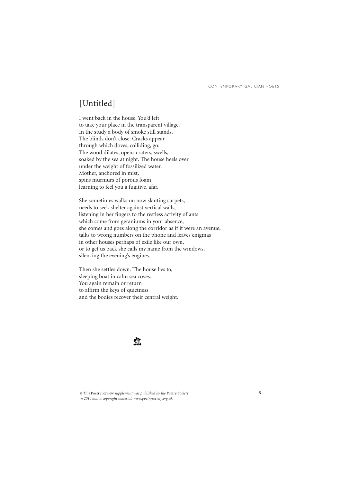## [Untitled]

I went back in the house. You'd left to take your place in the transparent village. In the study a body of smoke still stands. The blinds don't close. Cracks appear through which doves, colliding, go. The wood dilates, opens craters, swells, soaked by the sea at night. The house heels over under the weight of fossilized water. Mother, anchored in mist, spins murmurs of porous foam, learning to feel you a fugitive, afar.

She sometimes walks on now slanting carpets, needs to seek shelter against vertical walls, listening in her fingers to the restless activity of ants which come from geraniums in your absence, she comes and goes along the corridor as if it were an avenue, talks to wrong numbers on the phone and leaves enigmas in other houses perhaps of exile like our own, or to get us back she calls my name from the windows, silencing the evening's engines.

Then she settles down. The house lies to, sleeping boat in calm sea coves. You again remain or return to affirm the keys of quietness and the bodies recover their central weight.

### 夔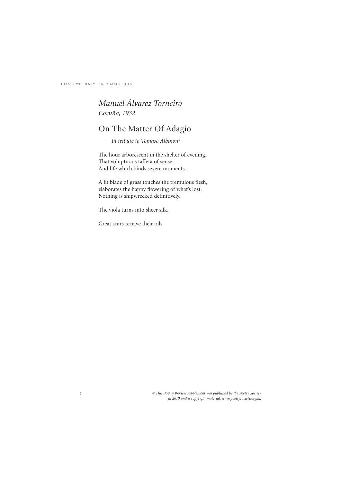6

### *Manuel Álvarez Torneiro Coruña, 1932*

## On The Matter Of Adagio

*In tribute to Tomaso Albinoni*

The hour arborescent in the shelter of evening. That voluptuous taffeta of sense. And life which binds severe moments.

A lit blade of grass touches the tremulous flesh, elaborates the happy flowering of what's lost. Nothing is shipwrecked definitively.

The viola turns into sheer silk.

Great scars receive their oils.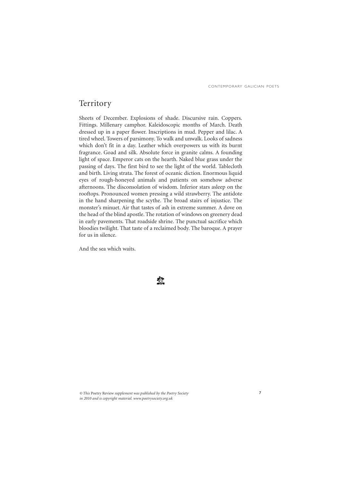7

### Territory

Sheets of December. Explosions of shade. Discursive rain. Coppers. Fittings. Millenary camphor. Kaleidoscopic months of March. Death dressed up in a paper flower. Inscriptions in mud. Pepper and lilac. A tired wheel. Towers of parsimony. To walk and unwalk. Looks of sadness which don't fit in a day. Leather which overpowers us with its burnt fragrance. Goad and silk. Absolute force in granite calms. A founding light of space. Emperor cats on the hearth. Naked blue grass under the passing of days. The first bird to see the light of the world. Tablecloth and birth. Living strata. The forest of oceanic diction. Enormous liquid eyes of rough-honeyed animals and patients on somehow adverse afternoons. The disconsolation of wisdom. Inferior stars asleep on the rooftops. Pronounced women pressing a wild strawberry. The antidote in the hand sharpening the scythe. The broad stairs of injustice. The monster's minuet. Air that tastes of ash in extreme summer. A dove on the head of the blind apostle. The rotation of windows on greenery dead in early pavements. That roadside shrine. The punctual sacrifice which bloodies twilight. That taste of a reclaimed body. The baroque. A prayer for us in silence.

And the sea which waits.

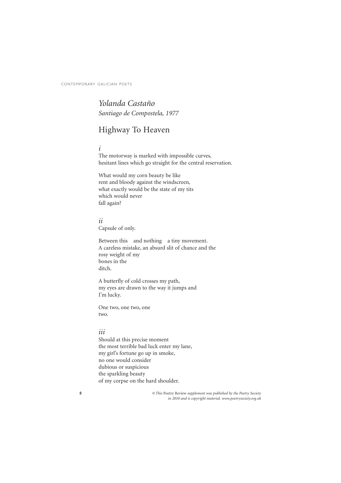*Yolanda Castaño Santiago de Compostela, 1977*

## Highway To Heaven

#### *i*

The motorway is marked with impossible curves, hesitant lines which go straight for the central reservation.

What would my corn beauty be like rent and bloody against the windscreen, what exactly would be the state of my tits which would never fall again?

#### *ii*

Capsule of only.

Between this and nothing a tiny movement. A careless mistake, an absurd slit of chance and the rosy weight of my bones in the ditch.

A butterfly of cold crosses my path, my eyes are drawn to the way it jumps and I'm lucky.

One two, one two, one two.

#### *iii*

Should at this precise moment the most terrible bad luck enter my lane, my girl's fortune go up in smoke, no one would consider dubious or suspicious the sparkling beauty of my corpse on the hard shoulder.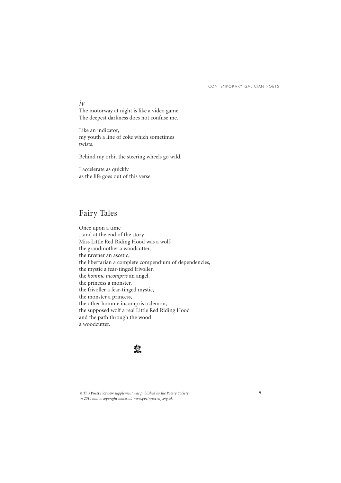9

#### *iv*

The motorway at night is like a video game. The deepest darkness does not confuse me.

Like an indicator, my youth a line of coke which sometimes twists.

Behind my orbit the steering wheels go wild.

I accelerate as quickly as the life goes out of this verse.

## Fairy Tales

Once upon a time ...and at the end of the story Miss Little Red Riding Hood was a wolf, the grandmother a woodcutter, the ravener an ascetic, the libertarian a complete compendium of dependencies, the mystic a fear-tinged frivoller, the *homme incompris* an angel, the princess a monster, the frivoller a fear-tinged mystic, the monster a princess, the other homme incompris a demon, the supposed wolf a real Little Red Riding Hood and the path through the wood a woodcutter.

### 蠻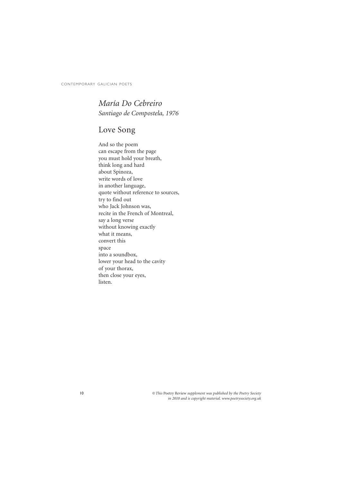*María Do Cebreiro Santiago de Compostela, 1976*

## Love Song

And so the poem can escape from the page you must hold your breath, think long and hard about Spinoza, write words of love in another language, quote without reference to sources, try to find out who Jack Johnson was, recite in the French of Montreal, say a long verse without knowing exactly what it means, convert this space into a soundbox, lower your head to the cavity of your thorax, then close your eyes, listen.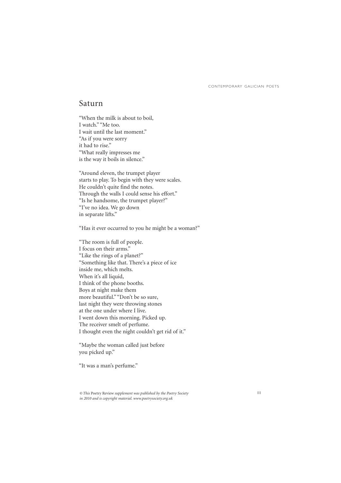#### Saturn

"When the milk is about to boil, I watch." "Me too. I wait until the last moment." "As if you were sorry it had to rise." "What really impresses me is the way it boils in silence."

"Around eleven, the trumpet player starts to play. To begin with they were scales. He couldn't quite find the notes. Through the walls I could sense his effort." "Is he handsome, the trumpet player?" "I've no idea. We go down in separate lifts."

"Has it ever occurred to you he might be a woman?"

"The room is full of people. I focus on their arms." "Like the rings of a planet?" "Something like that. There's a piece of ice inside me, which melts. When it's all liquid, I think of the phone booths. Boys at night make them more beautiful." "Don't be so sure, last night they were throwing stones at the one under where I live. I went down this morning. Picked up. The receiver smelt of perfume. I thought even the night couldn't get rid of it."

"Maybe the woman called just before you picked up."

"It was a man's perfume."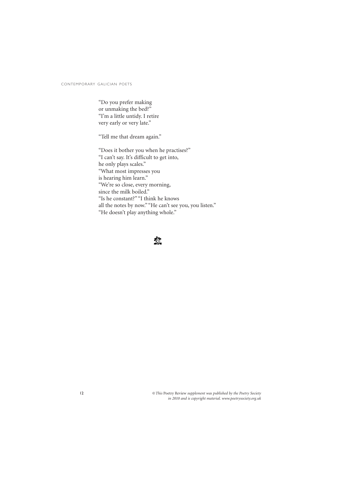"Do you prefer making or unmaking the bed?" "I'm a little untidy. I retire very early or very late."

"Tell me that dream again."

"Does it bother you when he practises?" "I can't say. It's difficult to get into, he only plays scales." "What most impresses you is hearing him learn." "We're so close, every morning, since the milk boiled." "Is he constant?" "I think he knows all the notes by now." "He can't see you, you listen." "He doesn't play anything whole."

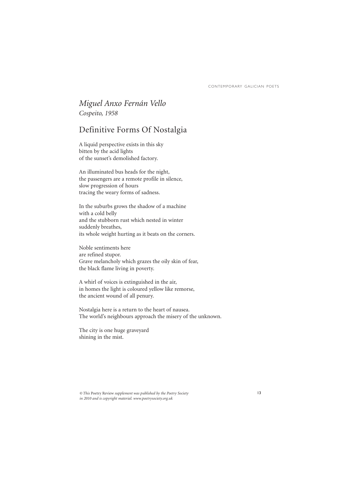### *Miguel Anxo Fernán Vello Cospeito, 1958*

### Definitive Forms Of Nostalgia

A liquid perspective exists in this sky bitten by the acid lights of the sunset's demolished factory.

An illuminated bus heads for the night, the passengers are a remote profile in silence, slow progression of hours tracing the weary forms of sadness.

In the suburbs grows the shadow of a machine with a cold belly and the stubborn rust which nested in winter suddenly breathes, its whole weight hurting as it beats on the corners.

Noble sentiments here are refined stupor. Grave melancholy which grazes the oily skin of fear, the black flame living in poverty.

A whirl of voices is extinguished in the air, in homes the light is coloured yellow like remorse, the ancient wound of all penury.

Nostalgia here is a return to the heart of nausea. The world's neighbours approach the misery of the unknown.

The city is one huge graveyard shining in the mist.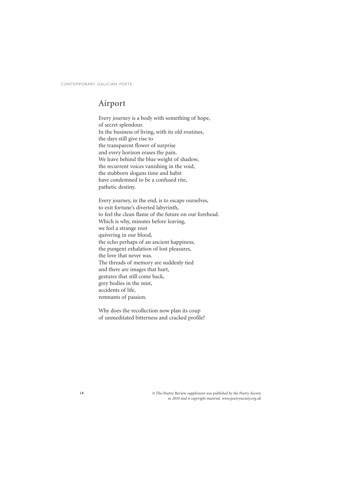### Airport

Every journey is a body with something of hope, of secret splendour. In the business of living, with its old routines, the days still give rise to the transparent flower of surprise and every horizon erases the pain. We leave behind the blue weight of shadow, the recurrent voices vanishing in the void, the stubborn slogans time and habit have condemned to be a confused rite, pathetic destiny.

Every journey, in the end, is to escape ourselves, to exit fortune's diverted labyrinth, to feel the clean flame of the future on our forehead. Which is why, minutes before leaving, we feel a strange root quivering in our blood, the echo perhaps of an ancient happiness, the pungent exhalation of lost pleasures, the love that never was. The threads of memory are suddenly tied and there are images that hurt, gestures that still come back, grey bodies in the mist, accidents of life, remnants of passion.

Why does the recollection now plan its coup of unmeditated bitterness and cracked profile?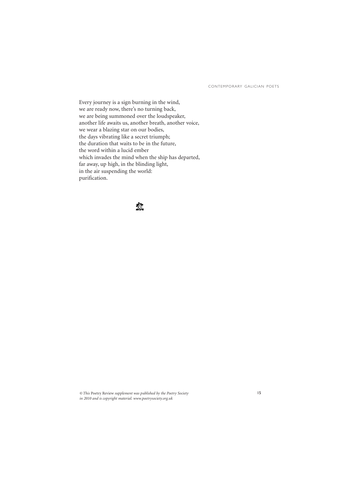Every journey is a sign burning in the wind, we are ready now, there's no turning back, we are being summoned over the loudspeaker, another life awaits us, another breath, another voice, we wear a blazing star on our bodies, the days vibrating like a secret triumph; the duration that waits to be in the future, the word within a lucid ember which invades the mind when the ship has departed, far away, up high, in the blinding light, in the air suspending the world: purification.

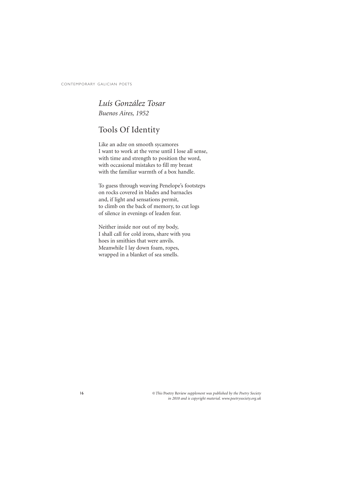### *Luís González Tosar Buenos Aires, 1952*

## Tools Of Identity

Like an adze on smooth sycamores I want to work at the verse until I lose all sense, with time and strength to position the word, with occasional mistakes to fill my breast with the familiar warmth of a box handle.

To guess through weaving Penelope's footsteps on rocks covered in blades and barnacles and, if light and sensations permit, to climb on the back of memory, to cut logs of silence in evenings of leaden fear.

Neither inside nor out of my body, I shall call for cold irons, share with you hoes in smithies that were anvils. Meanwhile I lay down foam, ropes, wrapped in a blanket of sea smells.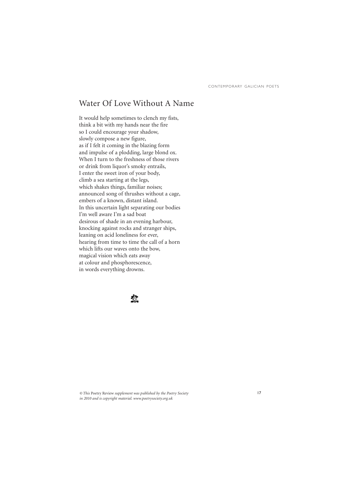### Water Of Love Without A Name

It would help sometimes to clench my fists, think a bit with my hands near the fire so I could encourage your shadow, slowly compose a new figure, as if I felt it coming in the blazing form and impulse of a plodding, large blond ox. When I turn to the freshness of those rivers or drink from liquor's smoky entrails, I enter the sweet iron of your body, climb a sea starting at the legs, which shakes things, familiar noises; announced song of thrushes without a cage, embers of a known, distant island. In this uncertain light separating our bodies I'm well aware I'm a sad boat desirous of shade in an evening harbour, knocking against rocks and stranger ships, leaning on acid loneliness for ever, hearing from time to time the call of a horn which lifts our waves onto the bow, magical vision which eats away at colour and phosphorescence, in words everything drowns.

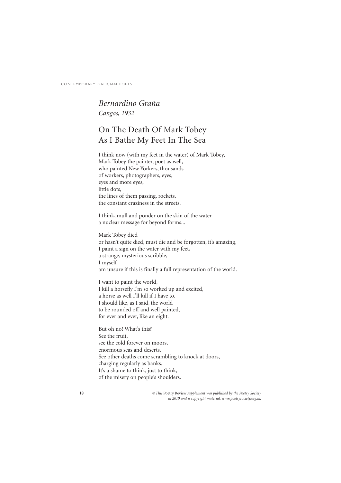#### *Bernardino Graña Cangas, 1932*

## On The Death Of Mark Tobey As I Bathe My Feet In The Sea

I think now (with my feet in the water) of Mark Tobey, Mark Tobey the painter, poet as well, who painted New Yorkers, thousands of workers, photographers, eyes, eyes and more eyes, little dots, the lines of them passing, rockets, the constant craziness in the streets.

I think, mull and ponder on the skin of the water a nuclear message for beyond forms...

Mark Tobey died or hasn't quite died, must die and be forgotten, it's amazing, I paint a sign on the water with my feet, a strange, mysterious scribble, I myself am unsure if this is finally a full representation of the world.

I want to paint the world, I kill a horsefly I'm so worked up and excited, a horse as well I'll kill if I have to. I should like, as I said, the world to be rounded off and well painted, for ever and ever, like an eight.

But oh no! What's this? See the fruit, see the cold forever on moors, enormous seas and deserts. See other deaths come scrambling to knock at doors, charging regularly as banks. It's a shame to think, just to think, of the misery on people's shoulders.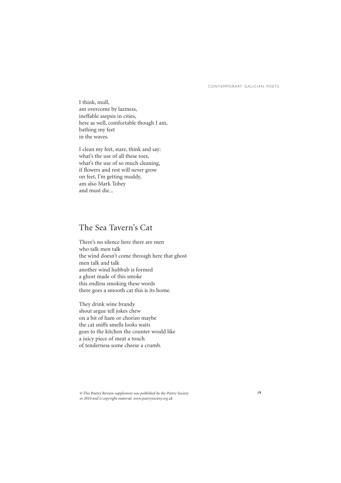I think, mull, am overcome by laziness, ineffable asepsis in cities, here as well, comfortable though I am, bathing my feet in the waves.

I clean my feet, stare, think and say: what's the use of all these toes, what's the use of so much cleaning, if flowers and rest will never grow on feet, I'm getting muddy, am also Mark Tobey and must die...

### The Sea Tavern's Cat

There's no silence here there are men who talk men talk the wind doesn't come through here that ghost men talk and talk another wind hubbub is formed a ghost made of this smoke this endless smoking these words there goes a smooth cat this is its home.

They drink wine brandy shout argue tell jokes chew on a bit of ham or chorizo maybe the cat sniffs smells looks waits goes to the kitchen the counter would like a juicy piece of meat a touch of tenderness some cheese a crumb.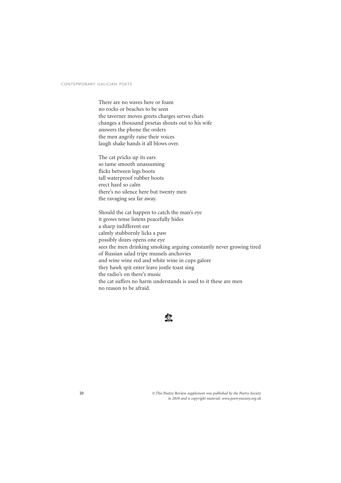There are no waves here or foam no rocks or beaches to be seen the taverner moves greets charges serves chats changes a thousand pesetas shouts out to his wife answers the phone the orders the men angrily raise their voices laugh shake hands it all blows over.

The cat pricks up its ears so tame smooth unassuming flicks between legs boots tall waterproof rubber boots erect hard so calm there's no silence here but twenty men the ravaging sea far away.

Should the cat happen to catch the man's eye it grows tense listens peacefully hides a sharp indifferent ear calmly stubbornly licks a paw possibly dozes opens one eye sees the men drinking smoking arguing constantly never growing tired of Russian salad tripe mussels anchovies and wine wine red and white wine in cups galore they hawk spit enter leave jostle toast sing the radio's on there's music the cat suffers no harm understands is used to it these are men no reason to be afraid.

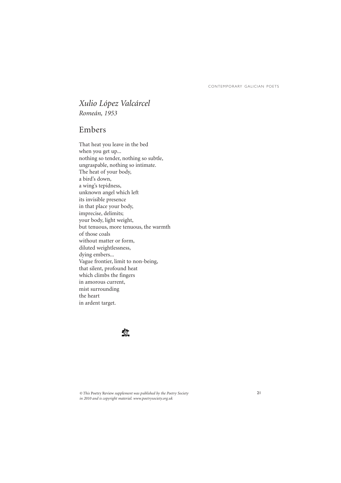### *Xulio López Valcárcel Romeán, 1953*

#### Embers

That heat you leave in the bed when you get up... nothing so tender, nothing so subtle, ungraspable, nothing so intimate. The heat of your body, a bird's down, a wing's tepidness, unknown angel which left its invisible presence in that place your body, imprecise, delimits; your body, light weight, but tenuous, more tenuous, the warmth of those coals without matter or form, diluted weightlessness, dying embers... Vague frontier, limit to non-being, that silent, profound heat which climbs the fingers in amorous current, mist surrounding the heart in ardent target.

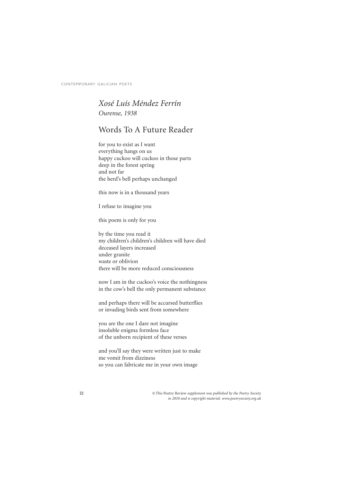#### *Xosé Luís Méndez Ferrín Ourense, 1938*

### Words To A Future Reader

for you to exist as I want everything hangs on us happy cuckoo will cuckoo in those parts deep in the forest spring and not far the herd's bell perhaps unchanged

this now is in a thousand years

I refuse to imagine you

this poem is only for you

by the time you read it my children's children's children will have died deceased layers increased under granite waste or oblivion there will be more reduced consciousness

now I am in the cuckoo's voice the nothingness in the cow's bell the only permanent substance

and perhaps there will be accursed butterflies or invading birds sent from somewhere

you are the one I dare not imagine insoluble enigma formless face of the unborn recipient of these verses

and you'll say they were written just to make me vomit from dizziness so you can fabricate me in your own image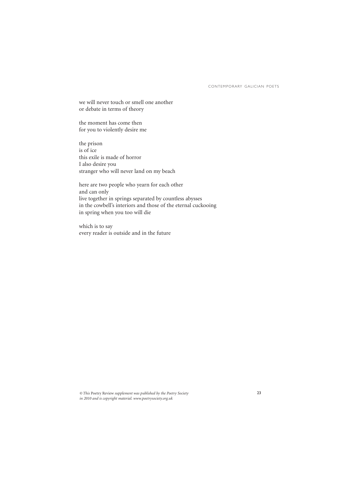we will never touch or smell one another or debate in terms of theory

the moment has come then for you to violently desire me

the prison is of ice this exile is made of horror I also desire you stranger who will never land on my beach

here are two people who yearn for each other and can only live together in springs separated by countless abysses in the cowbell's interiors and those of the eternal cuckooing in spring when you too will die

which is to say every reader is outside and in the future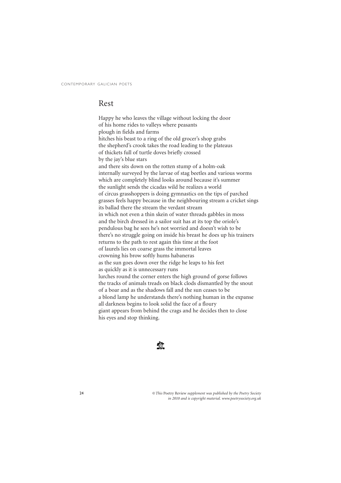#### Rest

Happy he who leaves the village without locking the door of his home rides to valleys where peasants plough in fields and farms hitches his beast to a ring of the old grocer's shop grabs the shepherd's crook takes the road leading to the plateaus of thickets full of turtle doves briefly crossed by the jay's blue stars and there sits down on the rotten stump of a holm-oak internally surveyed by the larvae of stag beetles and various worms which are completely blind looks around because it's summer the sunlight sends the cicadas wild he realizes a world of circus grasshoppers is doing gymnastics on the tips of parched grasses feels happy because in the neighbouring stream a cricket sings its ballad there the stream the verdant stream in which not even a thin skein of water threads gabbles in moss and the birch dressed in a sailor suit has at its top the oriole's pendulous bag he sees he's not worried and doesn't wish to be there's no struggle going on inside his breast he does up his trainers returns to the path to rest again this time at the foot of laurels lies on coarse grass the immortal leaves crowning his brow softly hums habaneras as the sun goes down over the ridge he leaps to his feet as quickly as it is unnecessary runs lurches round the corner enters the high ground of gorse follows the tracks of animals treads on black clods dismantled by the snout of a boar and as the shadows fall and the sun ceases to be a blond lamp he understands there's nothing human in the expanse all darkness begins to look solid the face of a floury giant appears from behind the crags and he decides then to close his eyes and stop thinking.

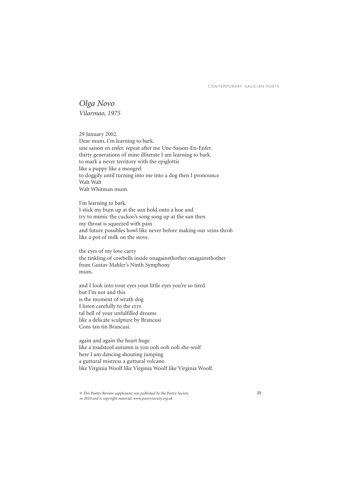*Olga Novo Vilarmao, 1975*

29 January 2002. Dear mum, I'm learning to bark. une saison en enfer. repeat after me Une-Saison-En-Enfer. thirty generations of mine illiterate I am learning to bark. to mark a never territory with the epiglottis like a puppy like a mongrel to doggify until turning into me into a dog then I pronounce Walt Walt Walt Whitman mum.

I'm learning to bark. I stick my bum up at the sun hold onto a hoe and try to mimic the cuckoo's song song up at the sun then my throat is squeezed with pain and future possibles howl like never before making our veins throb like a pot of milk on the stove.

the eyes of my love carry the tinkling of cowbells inside onagainsthother onagainsthother from Gustav Mahler's Ninth Symphony mum.

and I look into your eyes your little eyes you're so tired but I'm not and this is the moment of wrath dog I listen carefully to the crys tal bell of your unfulfilled dreams like a delicate sculpture by Brancusi Cons tan tin Brancusi.

again and again the heart huge like a toadstool autumn is you ooh ooh ooh she-wolf here I am dancing shouting jumping a guttural mistress a guttural volcano like Virginia Woolf like Virginia Woolf like Virginia Woolf.

*<sup>©</sup> This* Poetry Review *supplement was published by the Poetry Society in 2010 and is copyright material. www.poetrysociety.org.uk*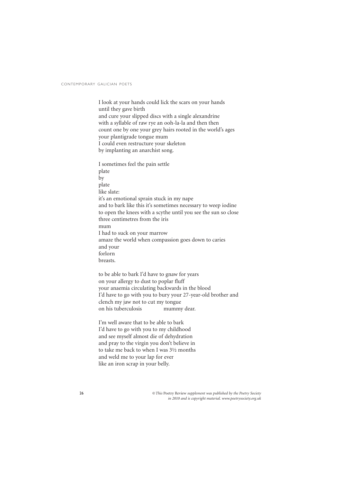I look at your hands could lick the scars on your hands until they gave birth and cure your slipped discs with a single alexandrine with a syllable of raw rye an ooh-la-la and then then count one by one your grey hairs rooted in the world's ages your plantigrade tongue mum I could even restructure your skeleton by implanting an anarchist song.

I sometimes feel the pain settle plate by plate like slate: it's an emotional sprain stuck in my nape and to bark like this it's sometimes necessary to weep iodine to open the knees with a scythe until you see the sun so close three centimetres from the iris mum I had to suck on your marrow amaze the world when compassion goes down to caries and your forlorn breasts.

to be able to bark I'd have to gnaw for years on your allergy to dust to poplar fluff your anaemia circulating backwards in the blood I'd have to go with you to bury your 27-year-old brother and clench my jaw not to cut my tongue on his tuberculosis mummy dear.

I'm well aware that to be able to bark I'd have to go with you to my childhood and see myself almost die of dehydration and pray to the virgin you don't believe in to take me back to when I was 3½ months and weld me to your lap for ever like an iron scrap in your belly.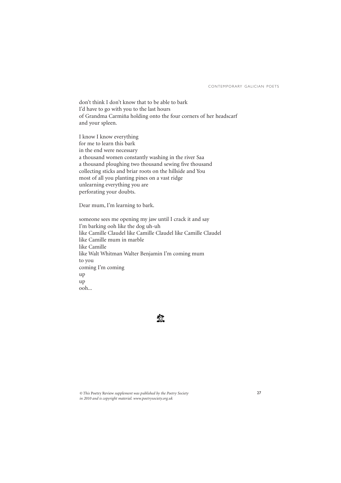don't think I don't know that to be able to bark I'd have to go with you to the last hours of Grandma Carmiña holding onto the four corners of her headscarf and your spleen.

I know I know everything for me to learn this bark in the end were necessary a thousand women constantly washing in the river Saa a thousand ploughing two thousand sewing five thousand collecting sticks and briar roots on the hillside and You most of all you planting pines on a vast ridge unlearning everything you are perforating your doubts.

Dear mum, I'm learning to bark.

someone sees me opening my jaw until I crack it and say I'm barking ooh like the dog uh-uh like Camille Claudel like Camille Claudel like Camille Claudel like Camille mum in marble like Camille like Walt Whitman Walter Benjamin I'm coming mum to you coming I'm coming up up ooh...

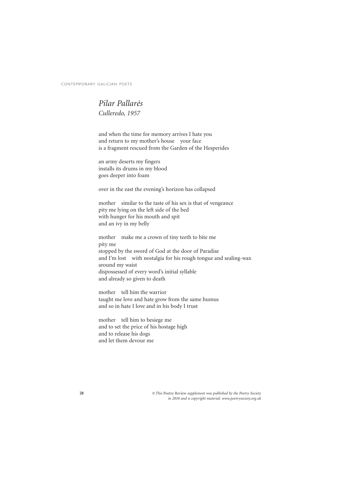### *Pilar Pallarés Culleredo, 1957*

and when the time for memory arrives I hate you and return to my mother's house your face is a fragment rescued from the Garden of the Hesperides

an army deserts my fingers installs its drums in my blood goes deeper into foam

over in the east the evening's horizon has collapsed

mother similar to the taste of his sex is that of vengeance pity me lying on the left side of the bed with hunger for his mouth and spit and an ivy in my belly

mother make me a crown of tiny teeth to bite me pity me stopped by the sword of God at the door of Paradise and I'm lost with nostalgia for his rough tongue and sealing-wax around my waist dispossessed of every word's initial syllable and already so given to death

mother tell him the warrior taught me love and hate grow from the same humus and so in hate I love and in his body I trust

mother tell him to besiege me and to set the price of his hostage high and to release his dogs and let them devour me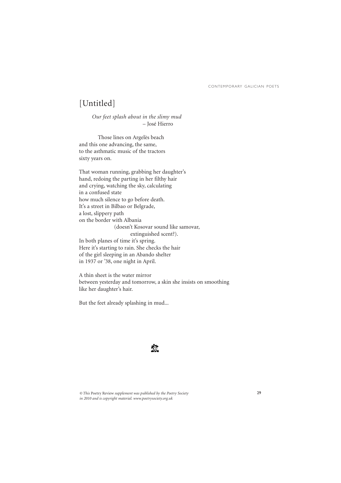## [Untitled]

*Our feet splash about in the slimy mud* – José Hierro

Those lines on Argelès beach and this one advancing, the same, to the asthmatic music of the tractors sixty years on.

That woman running, grabbing her daughter's hand, redoing the parting in her filthy hair and crying, watching the sky, calculating in a confused state how much silence to go before death. It's a street in Bilbao or Belgrade, a lost, slippery path on the border with Albania (doesn't Kosovar sound like samovar, extinguished scent?). In both planes of time it's spring. Here it's starting to rain. She checks the hair of the girl sleeping in an Abando shelter in 1937 or '38, one night in April.

A thin sheet is the water mirror between yesterday and tomorrow, a skin she insists on smoothing like her daughter's hair.

But the feet already splashing in mud...

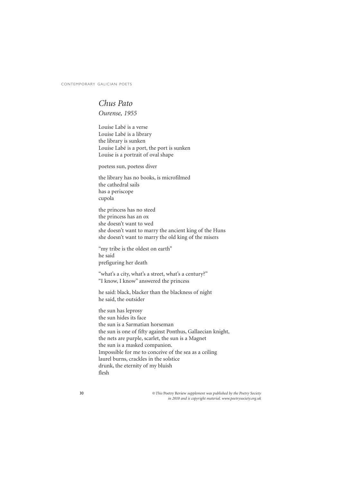#### *Chus Pato Ourense, 1955*

Louise Labé is a verse Louise Labé is a library the library is sunken Louise Labé is a port, the port is sunken Louise is a portrait of oval shape

poetess sun, poetess diver

the library has no books, is microfilmed the cathedral sails has a periscope cupola

the princess has no steed the princess has an ox she doesn't want to wed she doesn't want to marry the ancient king of the Huns she doesn't want to marry the old king of the misers

"my tribe is the oldest on earth" he said prefiguring her death

"what's a city, what's a street, what's a century?" "I know, I know" answered the princess

he said: black, blacker than the blackness of night he said, the outsider

the sun has leprosy the sun hides its face the sun is a Sarmatian horseman the sun is one of fifty against Ponthus, Gallaecian knight, the nets are purple, scarlet, the sun is a Magnet the sun is a masked companion. Impossible for me to conceive of the sea as a ceiling laurel burns, crackles in the solstice drunk, the eternity of my bluish flesh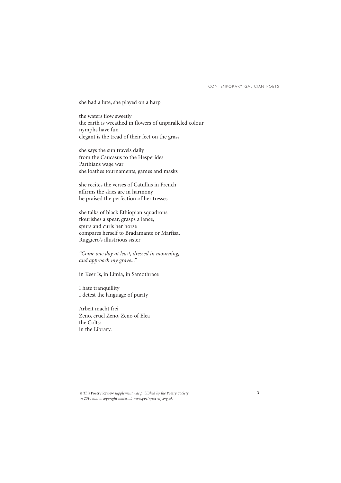she had a lute, she played on a harp

the waters flow sweetly the earth is wreathed in flowers of unparalleled colour nymphs have fun elegant is the tread of their feet on the grass

she says the sun travels daily from the Caucasus to the Hesperides Parthians wage war she loathes tournaments, games and masks

she recites the verses of Catullus in French affirms the skies are in harmony he praised the perfection of her tresses

she talks of black Ethiopian squadrons flourishes a spear, grasps a lance, spurs and curls her horse compares herself to Bradamante or Marfisa, Ruggiero's illustrious sister

*"Come one day at least, dressed in mourning, and approach my grave..."*

in Keer Is, in Limia, in Samothrace

I hate tranquillity I detest the language of purity

Arbeit macht frei Zeno, cruel Zeno, Zeno of Elea the Colts: in the Library.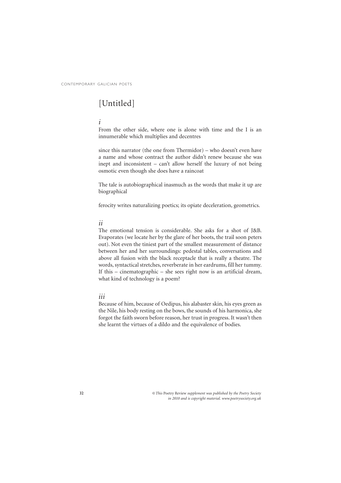## [Untitled]

#### *i*

From the other side, where one is alone with time and the I is an innumerable which multiplies and decentres

since this narrator (the one from Thermidor) – who doesn't even have a name and whose contract the author didn't renew because she was inept and inconsistent – can't allow herself the luxury of not being osmotic even though she does have a raincoat

The tale is autobiographical inasmuch as the words that make it up are biographical

ferocity writes naturalizing poetics; its opiate deceleration, geometrics.

#### *ii*

The emotional tension is considerable. She asks for a shot of J&B. Evaporates (we locate her by the glare of her boots, the trail soon peters out). Not even the tiniest part of the smallest measurement of distance between her and her surroundings: pedestal tables, conversations and above all fusion with the black receptacle that is really a theatre. The words, syntactical stretches, reverberate in her eardrums, fill her tummy. If this – cinematographic – she sees right now is an artificial dream, what kind of technology is a poem?

#### *iii*

Because of him, because of Oedipus, his alabaster skin, his eyes green as the Nile, his body resting on the bows, the sounds of his harmonica, she forgot the faith sworn before reason, her trust in progress. It wasn't then she learnt the virtues of a dildo and the equivalence of bodies.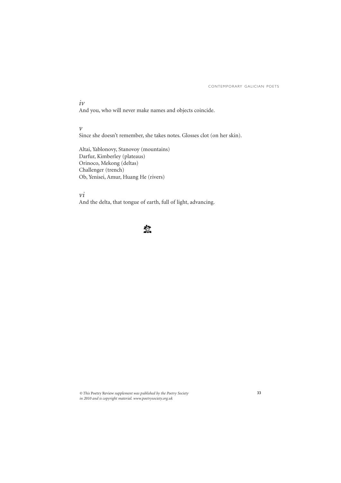#### *iv*

And you, who will never make names and objects coincide.

*v*

Since she doesn't remember, she takes notes. Glosses clot (on her skin).

Altai, Yablonovy, Stanovoy (mountains) Darfur, Kimberley (plateaus) Orinoco, Mekong (deltas) Challenger (trench) Ob, Yenisei, Amur, Huang He (rivers)

*vi*

And the delta, that tongue of earth, full of light, advancing.

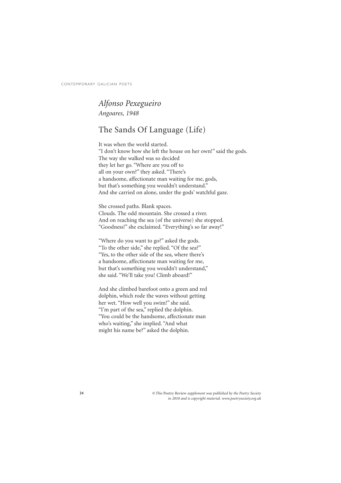### *Alfonso Pexegueiro Angoares, 1948*

## The Sands Of Language (Life)

It was when the world started. "I don't know how she left the house on her own!" said the gods. The way she walked was so decided they let her go. "Where are you off to all on your own?" they asked. "There's a handsome, affectionate man waiting for me, gods, but that's something you wouldn't understand." And she carried on alone, under the gods' watchful gaze.

She crossed paths. Blank spaces. Clouds. The odd mountain. She crossed a river. And on reaching the sea (of the universe) she stopped. "Goodness!" she exclaimed. "Everything's so far away!"

"Where do you want to go?" asked the gods. "To the other side," she replied. "Of the sea?" "Yes, to the other side of the sea, where there's a handsome, affectionate man waiting for me, but that's something you wouldn't understand," she said. "We'll take you! Climb aboard!"

And she climbed barefoot onto a green and red dolphin, which rode the waves without getting her wet. "How well you swim!" she said. "I'm part of the sea," replied the dolphin. "You could be the handsome, affectionate man who's waiting," she implied. "And what might his name be?" asked the dolphin.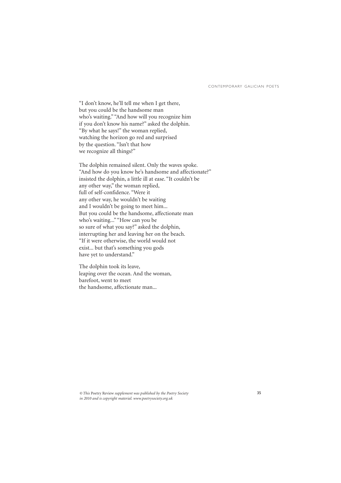"I don't know, he'll tell me when I get there, but you could be the handsome man who's waiting." "And how will you recognize him if you don't know his name?" asked the dolphin. "By what he says!" the woman replied, watching the horizon go red and surprised by the question. "Isn't that how we recognize all things?"

The dolphin remained silent. Only the waves spoke. "And how do you know he's handsome and affectionate?" insisted the dolphin, a little ill at ease. "It couldn't be any other way," the woman replied, full of self-confidence. "Were it any other way, he wouldn't be waiting and I wouldn't be going to meet him... But you could be the handsome, affectionate man who's waiting..." "How can you be so sure of what you say?" asked the dolphin, interrupting her and leaving her on the beach. "If it were otherwise, the world would not exist... but that's something you gods have yet to understand."

The dolphin took its leave, leaping over the ocean. And the woman, barefoot, went to meet the handsome, affectionate man...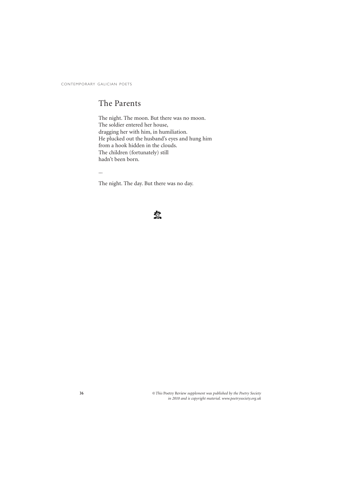### The Parents

The night. The moon. But there was no moon. The soldier entered her house, dragging her with him, in humiliation. He plucked out the husband's eyes and hung him from a hook hidden in the clouds. The children (fortunately) still hadn't been born.

...

The night. The day. But there was no day.

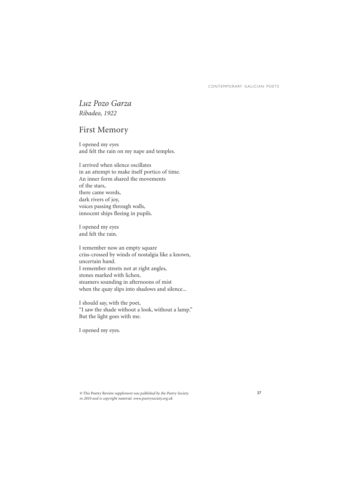### *Luz Pozo Garza Ribadeo, 1922*

### First Memory

I opened my eyes and felt the rain on my nape and temples.

I arrived when silence oscillates in an attempt to make itself portico of time. An inner form shared the movements of the stars, there came words, dark rivers of joy, voices passing through walls, innocent ships fleeing in pupils.

I opened my eyes and felt the rain.

I remember now an empty square criss-crossed by winds of nostalgia like a known, uncertain hand. I remember streets not at right angles, stones marked with lichen, steamers sounding in afternoons of mist when the quay slips into shadows and silence...

I should say, with the poet, "I saw the shade without a look, without a lamp." But the light goes with me.

I opened my eyes.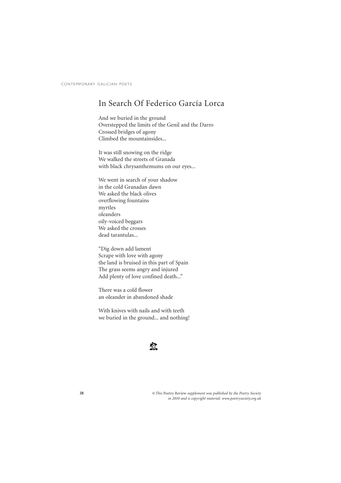### In Search Of Federico García Lorca

And we buried in the ground Overstepped the limits of the Genil and the Darro Crossed bridges of agony Climbed the mountainsides...

It was still snowing on the ridge We walked the streets of Granada with black chrysanthemums on our eyes...

We went in search of your shadow in the cold Granadan dawn We asked the black olives overflowing fountains myrtles oleanders oily-voiced beggars We asked the crosses dead tarantulas...

"Dig down add lament Scrape with love with agony the land is bruised in this part of Spain The grass seems angry and injured Add plenty of love confined death..."

There was a cold flower an oleander in abandoned shade

With knives with nails and with teeth we buried in the ground... and nothing!

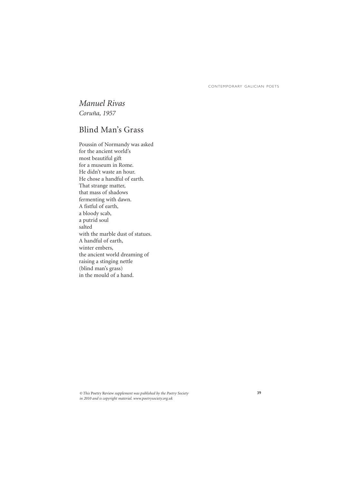### *Manuel Rivas Coruña, 1957*

### Blind Man's Grass

Poussin of Normandy was asked for the ancient world's most beautiful gift for a museum in Rome. He didn't waste an hour. He chose a handful of earth. That strange matter, that mass of shadows fermenting with dawn. A fistful of earth, a bloody scab, a putrid soul salted with the marble dust of statues. A handful of earth, winter embers, the ancient world dreaming of raising a stinging nettle (blind man's grass) in the mould of a hand.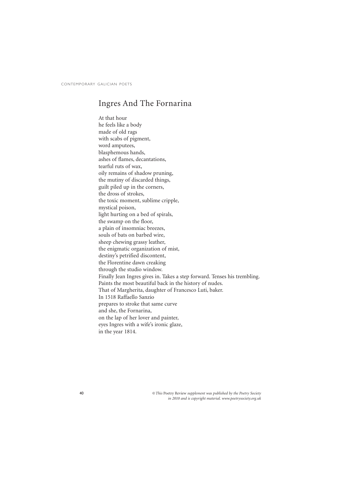### Ingres And The Fornarina

At that hour he feels like a body made of old rags with scabs of pigment, word amputees, blasphemous hands, ashes of flames, decantations, tearful ruts of wax, oily remains of shadow pruning, the mutiny of discarded things, guilt piled up in the corners, the dross of strokes, the toxic moment, sublime cripple, mystical poison, light hurting on a bed of spirals, the swamp on the floor, a plain of insomniac breezes, souls of bats on barbed wire, sheep chewing grassy leather, the enigmatic organization of mist, destiny's petrified discontent, the Florentine dawn creaking through the studio window. Finally Jean Ingres gives in. Takes a step forward. Tenses his trembling. Paints the most beautiful back in the history of nudes. That of Margherita, daughter of Francesco Luti, baker. In 1518 Raffaello Sanzio prepares to stroke that same curve and she, the Fornarina, on the lap of her lover and painter, eyes Ingres with a wife's ironic glaze, in the year 1814.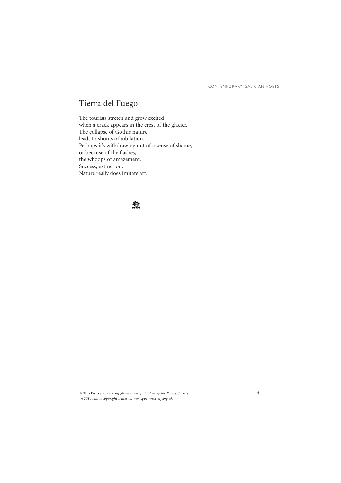## Tierra del Fuego

The tourists stretch and grow excited when a crack appears in the crest of the glacier. The collapse of Gothic nature leads to shouts of jubilation. Perhaps it's withdrawing out of a sense of shame, or because of the flashes, the whoops of amazement. Success, extinction. Nature really does imitate art.

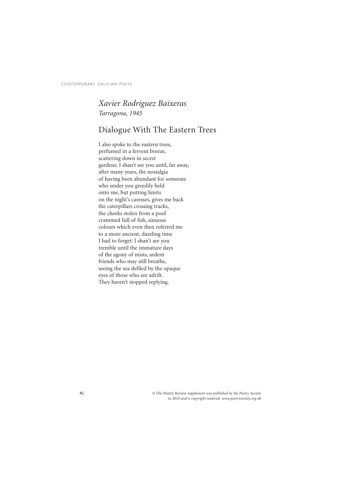### *Xavier Rodríguez Baixeras Tarragona, 1945*

### Dialogue With The Eastern Trees

I also spoke to the eastern trees, perfumed in a fervent breeze, scattering down in secret gardens: I shan't see you until, far away, after many years, the nostalgia of having been abundant for someone who under you greedily held onto me, but putting limits on the night's caresses, gives me back the caterpillars crossing tracks, the cheeks stolen from a pool crammed full of fish, sinuous colours which even then referred me to a more ancient, dazzling time I had to forget: I shan't see you tremble until the immature days of the agony of mists, ardent friends who may still breathe, seeing the sea defiled by the opaque eyes of those who are adrift. They haven't stopped replying.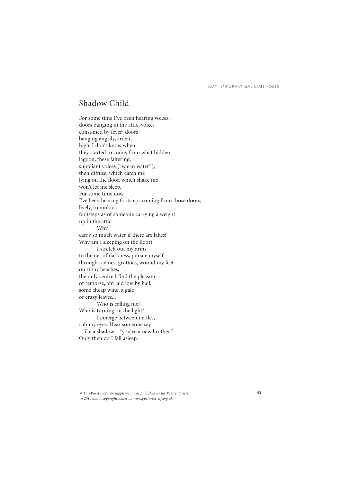### Shadow Child

For some time I've been hearing voices, doors banging in the attic, voices consumed by fever; doors banging angrily, ardent, high. I don't know when they started to come, from what hidden lagoon, these faltering, suppliant voices ("warm water"), then diffuse, which catch me lying on the floor, which shake me, won't let me sleep. For some time now I've been hearing footsteps coming from those doors, lively, tremulous footsteps as of someone carrying a weight up in the attic. Why carry so much water if there are lakes? Why am I sleeping on the floor? I stretch out my arms to the net of darkness, pursue myself through ravines, grottoes, wound my feet on stony beaches, the only centre I find the pleasure of remorse, am laid low by hail, some cheap wine, a gale of crazy leaves... Who is calling me? Who is turning on the light? I emerge between nettles, rub my eyes. Hear someone say – like a shadow – "you've a new brother." Only then do I fall asleep.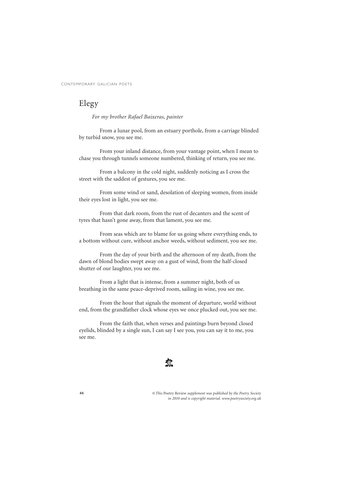### Elegy

*For my brother Rafael Baixeras, painter*

From a lunar pool, from an estuary porthole, from a carriage blinded by turbid snow, you see me.

From your inland distance, from your vantage point, when I mean to chase you through tunnels someone numbered, thinking of return, you see me.

From a balcony in the cold night, suddenly noticing as I cross the street with the saddest of gestures, you see me.

From some wind or sand, desolation of sleeping women, from inside their eyes lost in light, you see me.

From that dark room, from the rust of decanters and the scent of tyres that hasn't gone away, from that lament, you see me.

From seas which are to blame for us going where everything ends, to a bottom without cure, without anchor weeds, without sediment, you see me.

From the day of your birth and the afternoon of my death, from the dawn of blond bodies swept away on a gust of wind, from the half-closed shutter of our laughter, you see me.

From a light that is intense, from a summer night, both of us breathing in the same peace-deprived room, sailing in wine, you see me.

From the hour that signals the moment of departure, world without end, from the grandfather clock whose eyes we once plucked out, you see me.

From the faith that, when verses and paintings burn beyond closed eyelids, blinded by a single sun, I can say I see you, you can say it to me, you see me.

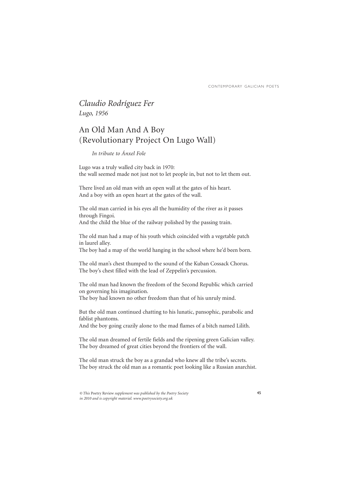### *Claudio Rodríguez Fer Lugo, 1956*

## An Old Man And A Boy (Revolutionary Project On Lugo Wall)

#### *In tribute to Ánxel Fole*

Lugo was a truly walled city back in 1970: the wall seemed made not just not to let people in, but not to let them out.

There lived an old man with an open wall at the gates of his heart. And a boy with an open heart at the gates of the wall.

The old man carried in his eyes all the humidity of the river as it passes through Fingoi. And the child the blue of the railway polished by the passing train.

The old man had a map of his youth which coincided with a vegetable patch in laurel alley.

The boy had a map of the world hanging in the school where he'd been born.

The old man's chest thumped to the sound of the Kuban Cossack Chorus. The boy's chest filled with the lead of Zeppelin's percussion.

The old man had known the freedom of the Second Republic which carried on governing his imagination.

The boy had known no other freedom than that of his unruly mind.

But the old man continued chatting to his lunatic, pansophic, parabolic and fablist phantoms.

And the boy going crazily alone to the mad flames of a bitch named Lilith.

The old man dreamed of fertile fields and the ripening green Galician valley. The boy dreamed of great cities beyond the frontiers of the wall.

The old man struck the boy as a grandad who knew all the tribe's secrets. The boy struck the old man as a romantic poet looking like a Russian anarchist.

*<sup>©</sup> This* Poetry Review *supplement was published by the Poetry Society in 2010 and is copyright material. www.poetrysociety.org.uk*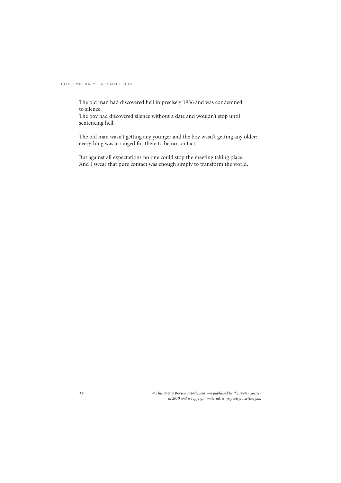The old man had discovered hell in precisely 1936 and was condemned to silence.

The boy had discovered silence without a date and wouldn't stop until sentencing hell.

The old man wasn't getting any younger and the boy wasn't getting any older: everything was arranged for there to be no contact.

But against all expectations no one could stop the meeting taking place. And I swear that pure contact was enough simply to transform the world.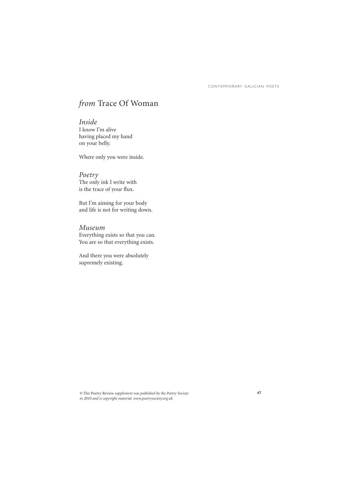## *from* Trace Of Woman

*Inside* I know I'm alive having placed my hand on your belly.

Where only you were inside.

*Poetry* The only ink I write with is the trace of your flux.

But I'm aiming for your body and life is not for writing down.

*Museum* Everything exists so that you can. You are so that everything exists.

And there you were absolutely supremely existing.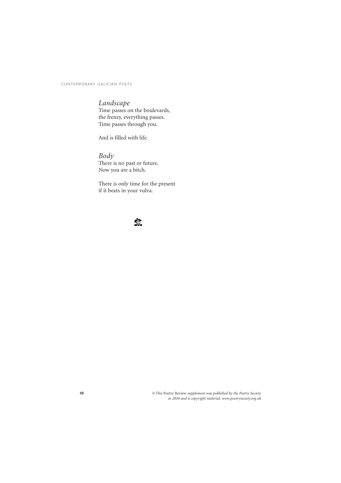#### *Landscape*

Time passes on the boulevards, the frenzy, everything passes. Time passes through you.

And is filled with life.

#### *Body* There is no past or future. Now you are a bitch.

There is only time for the present if it beats in your vulva.

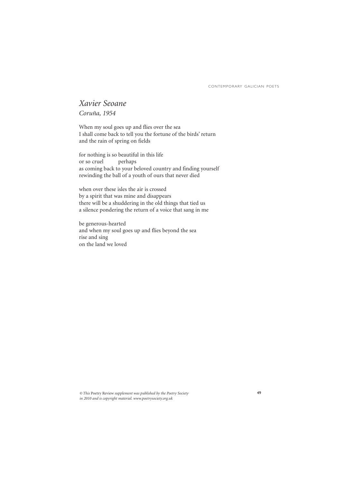### *Xavier Seoane Coruña, 1954*

When my soul goes up and flies over the sea I shall come back to tell you the fortune of the birds' return and the rain of spring on fields

for nothing is so beautiful in this life<br>or so cruel perhaps or so cruel as coming back to your beloved country and finding yourself rewinding the ball of a youth of ours that never died

when over these isles the air is crossed by a spirit that was mine and disappears there will be a shuddering in the old things that tied us a silence pondering the return of a voice that sang in me

be generous-hearted and when my soul goes up and flies beyond the sea rise and sing on the land we loved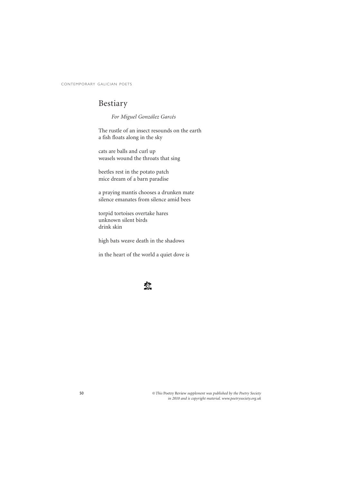## Bestiary

*For Miguel González Garcés*

The rustle of an insect resounds on the earth a fish floats along in the sky

cats are balls and curl up weasels wound the throats that sing

beetles rest in the potato patch mice dream of a barn paradise

a praying mantis chooses a drunken mate silence emanates from silence amid bees

torpid tortoises overtake hares unknown silent birds drink skin

high bats weave death in the shadows

in the heart of the world a quiet dove is

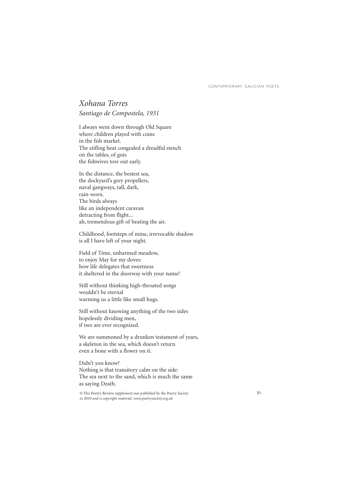#### *Xohana Torres Santiago de Compostela, 1931*

I always went down through Old Square where children played with coins in the fish market. The stifling heat congealed a dreadful stench on the tables, of guts the fishwives tore out early.

In the distance, the bestest sea, the dockyard's grey propellers, naval gangways, tall, dark, rain-worn. The birds always like an independent caravan detracting from flight... ah, tremendous gift of beating the air.

Childhood, footsteps of mine, irrevocable shadow is all I have left of your night.

Field of Time, unharmed meadow, to enjoy May for my doves: how life delegates that sweetness it sheltered in the doorway with your name!

Still without thinking high-throated songs wouldn't be eternal warming us a little like small hugs.

Still without knowing anything of the two sides hopelessly dividing men, if two are ever recognized.

We are summoned by a drunken testament of years, a skeleton in the sea, which doesn't return even a bone with a flower on it.

Didn't you know? Nothing is that transitory calm on the side: The sea next to the sand, which is much the same as saying Death.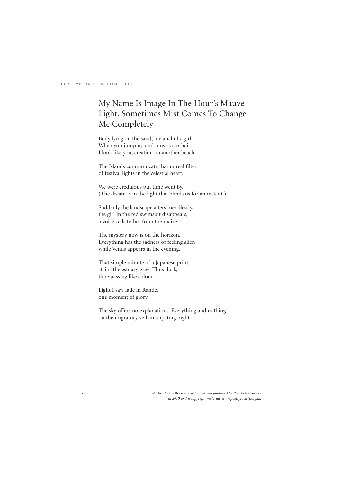## My Name Is Image In The Hour's Mauve Light. Sometimes Mist Comes To Change Me Completely

Body lying on the sand, melancholic girl. When you jump up and move your hair I look like you, creation on another beach.

The Islands communicate that unreal filter of festival lights in the celestial heart.

We were credulous but time went by. (The dream is in the light that blinds us for an instant.)

Suddenly the landscape alters mercilessly, the girl in the red swimsuit disappears, a voice calls to her from the maize.

The mystery now is on the horizon. Everything has the sadness of feeling alien while Venus appears in the evening.

That simple minute of a Japanese print stains the estuary grey: Thus dusk, time passing like colour.

Light I saw fade in Rande, one moment of glory.

The sky offers no explanations. Everything and nothing on the migratory veil anticipating night.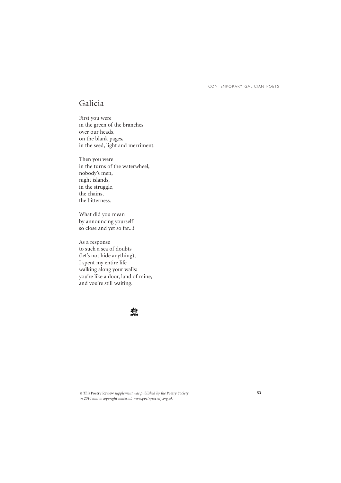### Galicia

First you were in the green of the branches over our heads, on the blank pages, in the seed, light and merriment.

Then you were in the turns of the waterwheel, nobody's men, night islands, in the struggle, the chains, the bitterness.

What did you mean by announcing yourself so close and yet so far...?

As a response to such a sea of doubts (let's not hide anything), I spent my entire life walking along your walls: you're like a door, land of mine, and you're still waiting.